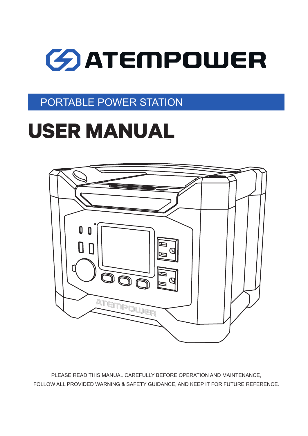## PORTABLE POWER STATION

## **USER MANUAL**



PLEASE READ THIS MANUAL CAREFULLY BEFORE OPERATION AND MAINTENANCE, FOLLOW ALL PROVIDED WARNING & SAFETY GUIDANCE, AND KEEP IT FOR FUTURE REFERENCE.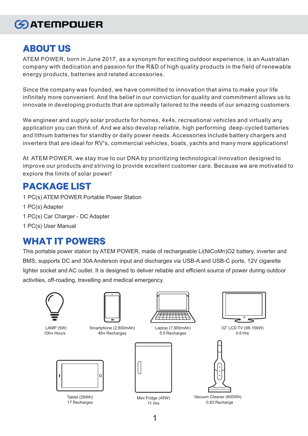#### **ABOUT US**

ATEM POWER, born in June 2017, as a synonym for exciting outdoor experience, is an Australian company with dedication and passion for the R&D of high quality products in the field of renewable energy products, batteries and related accessories.

Since the company was founded, we have committed to innovation that aims to make your life infinitely more convenient. And the belief in our conviction for quality and commitment allows us to innovate in developing products that are optimally tailored to the needs of our amazing customers.

We engineer and supply solar products for homes, 4x4s, recreational vehicles and virtually any application you can think of. And we also develop reliable, high performing deep-cycled batteries and lithium batteries for standby or daily power needs. Accessories include battery chargers and inverters that are ideal for RV's, commercial vehicles, boats, yachts and many more applications!

At ATEM POWER, we stay true to our DNA by prioritizing technological innovation designed to improve our products and striving to provide excellent customer care. Because we are motivated to explore the limits of solar power!

#### **PACKAGE LIST**

- 1 PC(s) ATEM POWER Portable Power Station
- 1 PC(s) Adapter
- 1 PC(s) Car Charger DC Adapter
- 1 PC(s) User Manual

#### **WHAT IT POWERS**

This portable power station by ATEM POWER, made of rechargeable Li(NiCoMn)O2 battery, inverter and BMS, supports DC and 30A Anderson input and discharges via USB-A and USB-C ports, 12V cigarette lighter socket and AC outlet. It is designed to deliver reliable and efficient source of power during outdoor activities, off-roading, travelling and medical emergency.



LAMP (5W) 100**+** Hours



Smartphone (2,800mAh) 48**+** Recharges





Laptop (7,900mAh) 5.5 Recharges





 $\circ$  $\blacksquare$ 

32" LCD TV (98-156W)



Vacuum Cleaner (600Wh) 0.83 Recharge



Tablet (29Wh) 17 Recharges

Mini Fridge (45W) 11 Hrs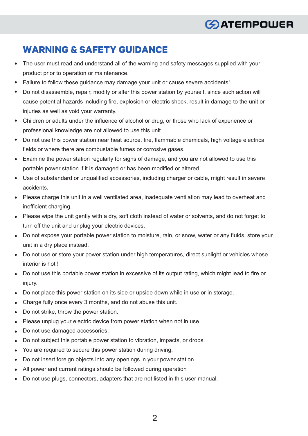#### **WARNING & SAFETY GUIDANCE**

- The user must read and understand all of the warning and safety messages supplied with your product prior to operation or maintenance.
- Failure to follow these guidance may damage your unit or cause severe accidents!  $\bullet$
- Do not disassemble, repair, modify or alter this power station by yourself, since such action will cause potential hazards including fire, explosion or electric shock, result in damage to the unit or injuries as well as void your warranty.
- Children or adults under the influence of alcohol or drug, or those who lack of experience or  $\bullet$ professional knowledge are not allowed to use this unit.
- Do not use this power station near heat source, fire, flammable chemicals, high voltage electrical fields or where there are combustable fumes or corrosive gases.
- Examine the power station regularly for signs of damage, and you are not allowed to use this portable power station if it is damaged or has been modified or altered.
- Use of substandard or unqualified accessories, including charger or cable, might result in severe accidents.
- Please charge this unit in a well ventilated area, inadequate ventilation may lead to overheat and inefficient charging.
- Please wipe the unit gently with a dry, soft cloth instead of water or solvents, and do not forget to turn off the unit and unplug your electric devices.
- Do not expose your portable power station to moisture, rain, or snow, water or any fluids, store your unit in a dry place instead.
- Do not use or store your power station under high temperatures, direct sunlight or vehicles whose interior is hot !
- Do not use this portable power station in excessive of its output rating, which might lead to fire or injury.
- Do not place this power station on its side or upside down while in use or in storage.
- Charge fully once every 3 months, and do not abuse this unit.
- Do not strike, throw the power station.  $\bullet$
- Please unplug your electric device from power station when not in use.
- Do not use damaged accessories.
- Do not subject this portable power station to vibration, impacts, or drops.
- You are required to secure this power station during driving.
- Do not insert foreign objects into any openings in your power station
- All power and current ratings should be followed during operation
- Do not use plugs, connectors, adapters that are not listed in this user manual. $\bullet$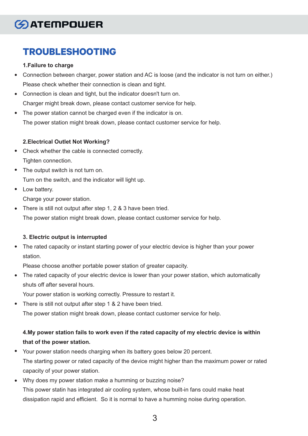### **TROUBLESHOOTING**

#### **1.Failure to charge**

- Connection between charger, power station and AC is loose (and the indicator is not turn on either.) Please check whether their connection is clean and tight.
- Connection is clean and tight, but the indicator doesn't turn on. Charger might break down, please contact customer service for help.
- The power station cannot be charged even if the indicator is on. The power station might break down, please contact customer service for help.

#### **2.Electrical Outlet Not Working?**

- Check whether the cable is connected correctly. Tighten connection.
- The output switch is not turn on. Turn on the switch, and the indicator will light up.
- Low battery. Charge your power station.
- There is still not output after step 1, 2 & 3 have been tried.  $\bullet$

The power station might break down, please contact customer service for help.

#### **3. Electric output is interrupted**

The rated capacity or instant starting power of your electric device is higher than your power  $\bullet$ station.

Please choose another portable power station of greater capacity.

The rated capacity of your electric device is lower than your power station, which automatically  $\bullet$ shuts off after several hours.

Your power station is working correctly. Pressure to restart it.

There is still not output after step 1 & 2 have been tried.

The power station might break down, please contact customer service for help.

#### **4.My power station fails to work even if the rated capacity of my electric device is within that of the power station.**

- Your power station needs charging when its battery goes below 20 percent. The starting power or rated capacity of the device might higher than the maximum power or rated capacity of your power station.
- $\bullet$ Why does my power station make a humming or buzzing noise? This power statin has integrated air cooling system, whose built-in fans could make heat dissipation rapid and efficient. So it is normal to have a humming noise during operation.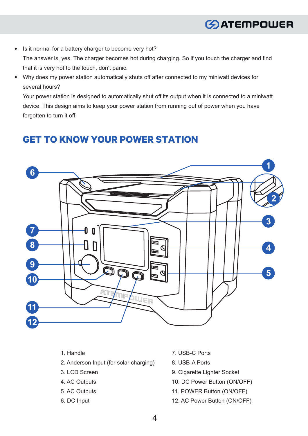- Is it normal for a battery charger to become very hot?  $\bullet$ The answer is, yes. The charger becomes hot during charging. So if you touch the charger and find that it is very hot to the touch, don't panic.
- Why does my power station automatically shuts off after connected to my miniwatt devices for  $\bullet$ several hours?

Your power station is designed to automatically shut off its output when it is connected to a miniwatt device. This design aims to keep your power station from running out of power when you have forgotten to turn it off.

#### **GET TO KNOW YOUR POWER STATION**



- 1. Handle
- 2. Anderson Input (for solar charging)
- 3. LCD Screen
- 4. AC Outputs
- 5. AC Outputs
- 6. DC Input
- 7. USB-C Ports
- 8. USB-A Ports
- 9. Cigarette Lighter Socket
- 10. DC Power Button (ON/OFF)
- 11. POWER Button (ON/OFF)
- 12. AC Power Button (ON/OFF)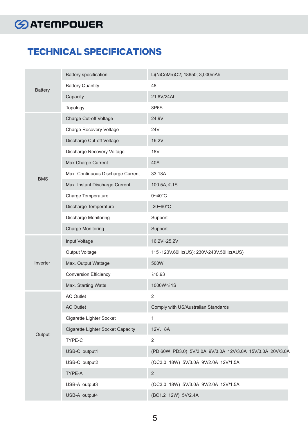#### **TECHNICAL SPECIFICATIONS**

| <b>Battery</b> | <b>Battery specification</b>      | Li(NiCoMn)O2; 18650; 3,000mAh                             |
|----------------|-----------------------------------|-----------------------------------------------------------|
|                | <b>Battery Quantity</b>           | 48                                                        |
|                | Capacity                          | 21.6V/24Ah                                                |
|                | Topology                          | 8P6S                                                      |
| <b>BMS</b>     | Charge Cut-off Voltage            | 24.9V                                                     |
|                | Charge Recovery Voltage           | <b>24V</b>                                                |
|                | Discharge Cut-off Voltage         | 16.2V                                                     |
|                | Discharge Recovery Voltage        | <b>18V</b>                                                |
|                | Max Charge Current                | 40A                                                       |
|                | Max. Continuous Discharge Current | 33.18A                                                    |
|                | Max. Instant Discharge Current    | 100.5A, $\leq$ 1S                                         |
|                | Charge Temperature                | $0 - 40$ °C                                               |
|                | Discharge Temperature             | $-20 - 60^{\circ}C$                                       |
|                | Discharge Monitoring              | Support                                                   |
|                | <b>Charge Monitoring</b>          | Support                                                   |
| Inverter       | Input Voltage                     | 16.2V~25.2V                                               |
|                | Output Voltage                    | 115~120V,60Hz(US); 230V-240V,50Hz(AUS)                    |
|                | Max. Output Wattage               | 500W                                                      |
|                | <b>Conversion Efficiency</b>      | $≥$ 0.93                                                  |
|                | Max. Starting Watts               | 1000W≤1S                                                  |
| Output         | <b>AC Outlet</b>                  | $\overline{2}$                                            |
|                | <b>AC Outlet</b>                  | Comply with US/Australian Standards                       |
|                | Cigarette Lighter Socket          | 1                                                         |
|                | Cigarette Lighter Socket Capacity | 12V, 8A                                                   |
|                | TYPE-C                            | $\overline{2}$                                            |
|                | USB-C output1                     | (PD 60W PD3.0) 5V/3.0A 9V/3.0A 12V/3.0A 15V/3.0A 20V/3.0A |
|                | USB-C output2                     | (QC3.0 18W) 5V/3.0A 9V/2.0A 12V/1.5A                      |
|                | TYPE-A                            | $\overline{2}$                                            |
|                | USB-A output3                     | (QC3.0 18W) 5V/3.0A 9V/2.0A 12V/1.5A                      |
|                | USB-A output4                     | (BC1.2 12W) 5V/2.4A                                       |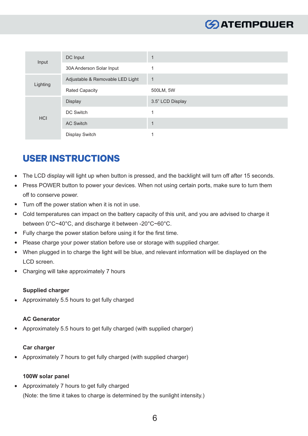| Input      | DC Input                         |                  |
|------------|----------------------------------|------------------|
|            | 30A Anderson Solar Input         |                  |
| Lighting   | Adjustable & Removable LED Light | $\mathbf 1$      |
|            | <b>Rated Capacity</b>            | 500LM, 5W        |
| <b>HCI</b> | <b>Display</b>                   | 3.5" LCD Display |
|            | DC Switch                        |                  |
|            | <b>AC Switch</b>                 |                  |
|            | Display Switch                   |                  |

#### **USER INSTRUCTIONS**

- The LCD display will light up when button is pressed, and the backlight will turn off after 15 seconds.
- Press POWER button to power your devices. When not using certain ports, make sure to turn them  $\bullet$ off to conserve power.
- Turn off the power station when it is not in use.  $\bullet$
- Cold temperatures can impact on the battery capacity of this unit, and you are advised to charge it  $\bullet$ between 0°C~40°C, and discharge it between -20°C~60°C.
- Fully charge the power station before using it for the first time.
- Please charge your power station before use or storage with supplied charger.  $\bullet$
- When plugged in to charge the light will be blue, and relevant information will be displayed on the  $\bullet$ LCD screen.
- Charging will take approximately 7 hours  $\bullet$

#### **Supplied charger**

Approximately 5.5 hours to get fully charged  $\bullet$ 

#### **AC Generator**

Approximately 5.5 hours to get fully charged (with supplied charger)

#### **Car charger**

Approximately 7 hours to get fully charged (with supplied charger)  $\bullet$ 

#### **100W solar panel**

Approximately 7 hours to get fully charged  $\bullet$ (Note: the time it takes to charge is determined by the sunlight intensity.)